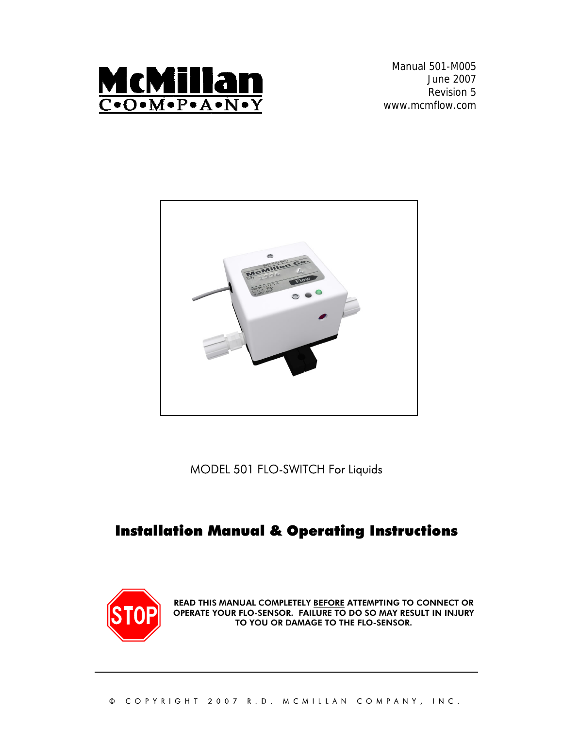

Manual 501-M005 June 2007 Revision 5 www.mcmflow.com



MODEL 501 FLO-SWITCH For Liquids

# Installation Manual & Operating Instructions



READ THIS MANUAL COMPLETELY BEFORE ATTEMPTING TO CONNECT OR OPERATE YOUR FLO-SENSOR. FAILURE TO DO SO MAY RESULT IN INJURY TO YOU OR DAMAGE TO THE FLO-SENSOR.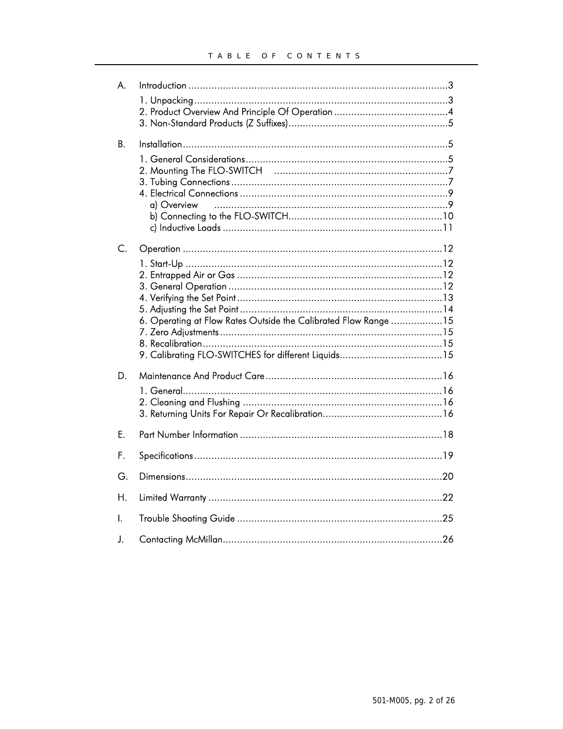| A. |                                                                 |
|----|-----------------------------------------------------------------|
|    |                                                                 |
|    |                                                                 |
|    |                                                                 |
| В. |                                                                 |
|    |                                                                 |
|    |                                                                 |
|    |                                                                 |
|    |                                                                 |
|    | a) Overview                                                     |
|    |                                                                 |
|    |                                                                 |
| C. |                                                                 |
|    |                                                                 |
|    |                                                                 |
|    |                                                                 |
|    |                                                                 |
|    |                                                                 |
|    | 6. Operating at Flow Rates Outside the Calibrated Flow Range 15 |
|    |                                                                 |
|    |                                                                 |
|    |                                                                 |
| D. |                                                                 |
|    |                                                                 |
|    |                                                                 |
|    |                                                                 |
| E. |                                                                 |
| F. |                                                                 |
| G. |                                                                 |
|    |                                                                 |
| Η. |                                                                 |
| I. |                                                                 |
| J. |                                                                 |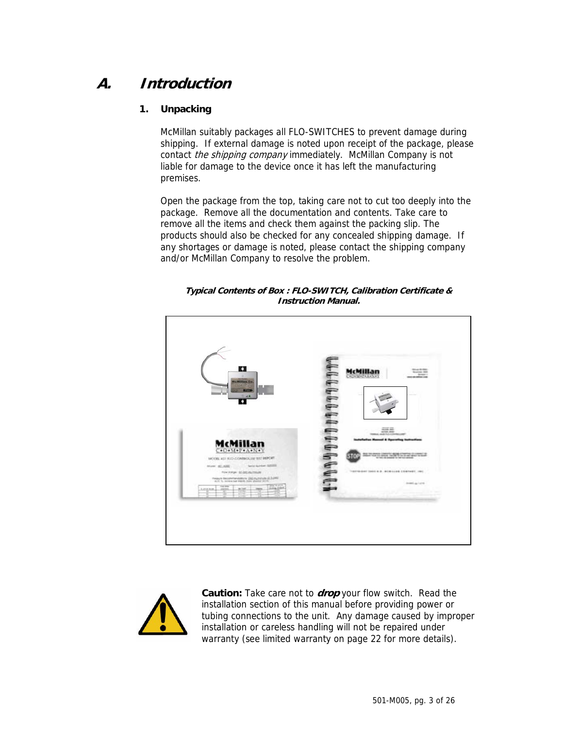# **A. Introduction**

## **1. Unpacking**

McMillan suitably packages all FLO-SWITCHES to prevent damage during shipping. If external damage is noted upon receipt of the package, please contact *the shipping company* immediately. McMillan Company is not liable for damage to the device once it has left the manufacturing premises.

Open the package from the top, taking care not to cut too deeply into the package. Remove all the documentation and contents. Take care to remove all the items and check them against the packing slip. The products should also be checked for any concealed shipping damage. If any shortages or damage is noted, please contact the shipping company and/or McMillan Company to resolve the problem.

**Typical Contents of Box : FLO-SWITCH, Calibration Certificate & Instruction Manual.** 





**Caution:** Take care not to **drop** your flow switch. Read the installation section of this manual before providing power or tubing connections to the unit. Any damage caused by improper installation or careless handling will not be repaired under warranty (see limited warranty on page 22 for more details).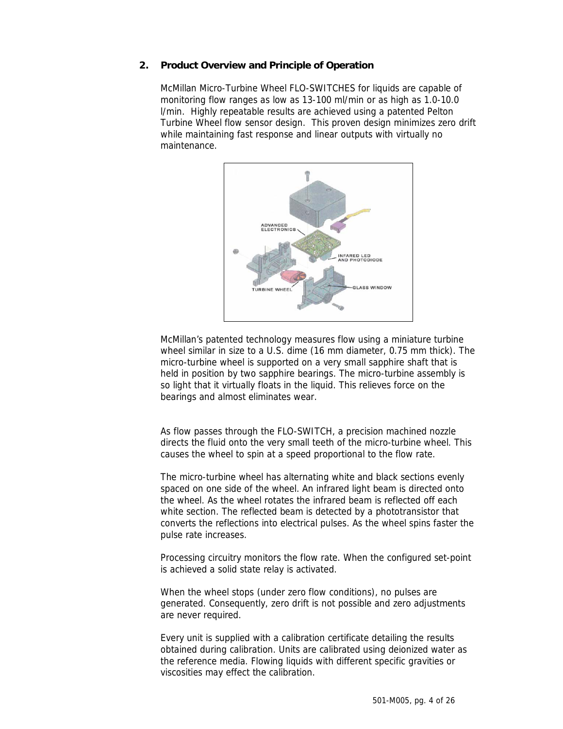### **2. Product Overview and Principle of Operation**

McMillan Micro-Turbine Wheel FLO-SWITCHES for liquids are capable of monitoring flow ranges as low as 13-100 ml/min or as high as 1.0-10.0 l/min. Highly repeatable results are achieved using a patented Pelton Turbine Wheel flow sensor design. This proven design minimizes zero drift while maintaining fast response and linear outputs with virtually no maintenance.



McMillan's patented technology measures flow using a miniature turbine wheel similar in size to a U.S. dime (16 mm diameter, 0.75 mm thick). The micro-turbine wheel is supported on a very small sapphire shaft that is held in position by two sapphire bearings. The micro-turbine assembly is so light that it virtually floats in the liquid. This relieves force on the bearings and almost eliminates wear.

As flow passes through the FLO-SWITCH, a precision machined nozzle directs the fluid onto the very small teeth of the micro-turbine wheel. This causes the wheel to spin at a speed proportional to the flow rate.

The micro-turbine wheel has alternating white and black sections evenly spaced on one side of the wheel. An infrared light beam is directed onto the wheel. As the wheel rotates the infrared beam is reflected off each white section. The reflected beam is detected by a phototransistor that converts the reflections into electrical pulses. As the wheel spins faster the pulse rate increases.

Processing circuitry monitors the flow rate. When the configured set-point is achieved a solid state relay is activated.

When the wheel stops (under zero flow conditions), no pulses are generated. Consequently, zero drift is not possible and zero adjustments are never required.

Every unit is supplied with a calibration certificate detailing the results obtained during calibration. Units are calibrated using deionized water as the reference media. Flowing liquids with different specific gravities or viscosities may effect the calibration.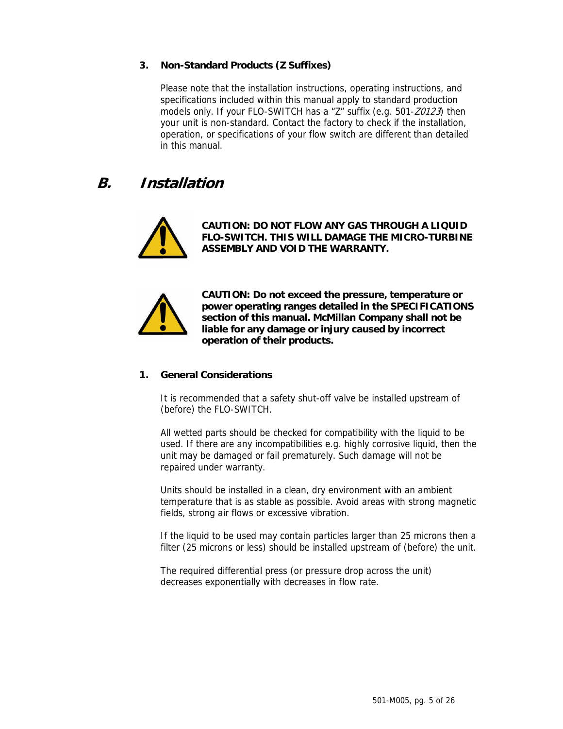## **3. Non-Standard Products (Z Suffixes)**

Please note that the installation instructions, operating instructions, and specifications included within this manual apply to standard production models only. If your FLO-SWITCH has a "Z" suffix (e.g. 501-Z0123) then your unit is non-standard. Contact the factory to check if the installation, operation, or specifications of your flow switch are different than detailed in this manual.

# **B. Installation**



**CAUTION: DO NOT FLOW ANY GAS THROUGH A LIQUID FLO-SWITCH. THIS WILL DAMAGE THE MICRO-TURBINE ASSEMBLY AND VOID THE WARRANTY.** 



**CAUTION: Do not exceed the pressure, temperature or power operating ranges detailed in the SPECIFICATIONS section of this manual. McMillan Company shall not be liable for any damage or injury caused by incorrect operation of their products.** 

### **1. General Considerations**

It is recommended that a safety shut-off valve be installed upstream of (before) the FLO-SWITCH.

All wetted parts should be checked for compatibility with the liquid to be used. If there are any incompatibilities e.g. highly corrosive liquid, then the unit may be damaged or fail prematurely. Such damage will not be repaired under warranty.

Units should be installed in a clean, dry environment with an ambient temperature that is as stable as possible. Avoid areas with strong magnetic fields, strong air flows or excessive vibration.

If the liquid to be used may contain particles larger than 25 microns then a filter (25 microns or less) should be installed upstream of (before) the unit.

The required differential press (or pressure drop across the unit) decreases exponentially with decreases in flow rate.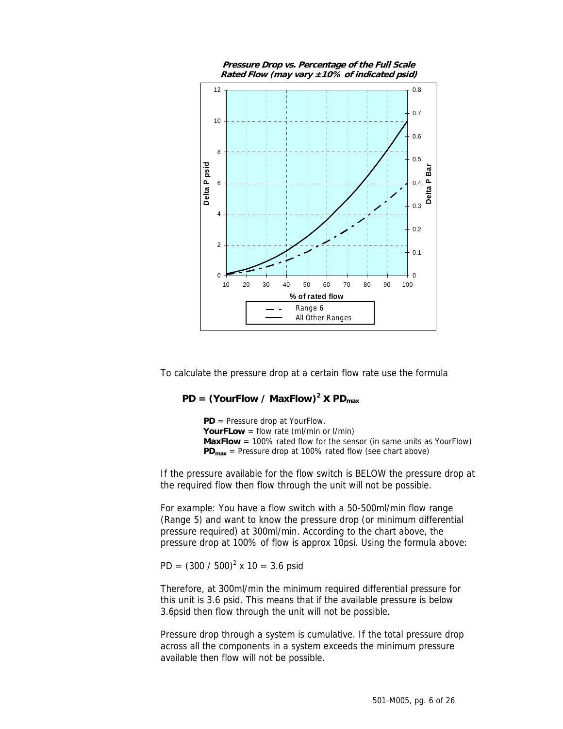

To calculate the pressure drop at a certain flow rate use the formula

## $PD = (YourFlow / MaxFlow)^2 \times PD_{max}$

**PD** = Pressure drop at YourFlow. **YourFLow** = flow rate (ml/min or l/min) **MaxFlow** = 100% rated flow for the sensor (in same units as YourFlow) **PD<sub>max</sub>** = Pressure drop at 100% rated flow (see chart above)

If the pressure available for the flow switch is BELOW the pressure drop at the required flow then flow through the unit will not be possible.

For example: You have a flow switch with a 50-500ml/min flow range (Range 5) and want to know the pressure drop (or minimum differential pressure required) at 300ml/min. According to the chart above, the pressure drop at 100% of flow is approx 10psi. Using the formula above:

PD =  $(300 / 500)^2$  x 10 = 3.6 psid

Therefore, at 300ml/min the minimum required differential pressure for this unit is 3.6 psid. This means that if the available pressure is below 3.6psid then flow through the unit will not be possible.

Pressure drop through a system is cumulative. If the total pressure drop across all the components in a system exceeds the minimum pressure available then flow will not be possible.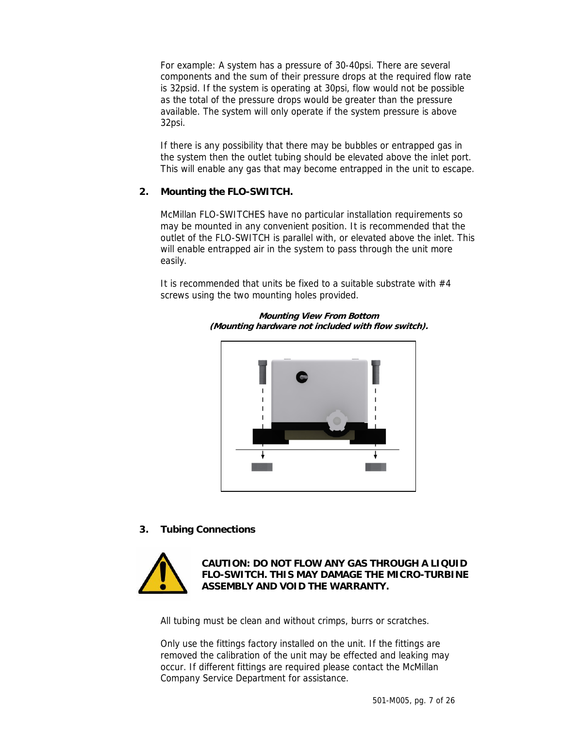For example: A system has a pressure of 30-40psi. There are several components and the sum of their pressure drops at the required flow rate is 32psid. If the system is operating at 30psi, flow would not be possible as the total of the pressure drops would be greater than the pressure available. The system will only operate if the system pressure is above 32psi.

If there is any possibility that there may be bubbles or entrapped gas in the system then the outlet tubing should be elevated above the inlet port. This will enable any gas that may become entrapped in the unit to escape.

### **2. Mounting the FLO-SWITCH.**

McMillan FLO-SWITCHES have no particular installation requirements so may be mounted in any convenient position. It is recommended that the outlet of the FLO-SWITCH is parallel with, or elevated above the inlet. This will enable entrapped air in the system to pass through the unit more easily.

It is recommended that units be fixed to a suitable substrate with  $#4$ screws using the two mounting holes provided.



**Mounting View From Bottom (Mounting hardware not included with flow switch).** 

**3. Tubing Connections** 



**CAUTION: DO NOT FLOW ANY GAS THROUGH A LIQUID FLO-SWITCH. THIS MAY DAMAGE THE MICRO-TURBINE ASSEMBLY AND VOID THE WARRANTY.** 

All tubing must be clean and without crimps, burrs or scratches.

Only use the fittings factory installed on the unit. If the fittings are removed the calibration of the unit may be effected and leaking may occur. If different fittings are required please contact the McMillan Company Service Department for assistance.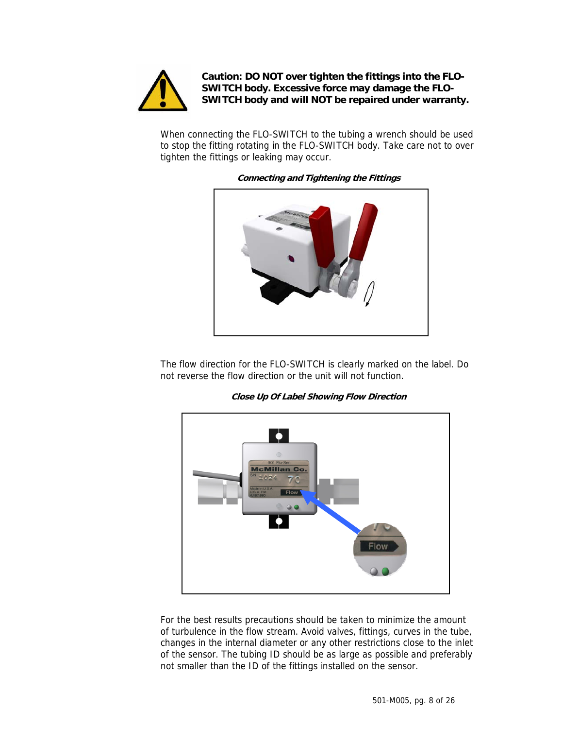

**Caution: DO NOT over tighten the fittings into the FLO-SWITCH body. Excessive force may damage the FLO-SWITCH body and will NOT be repaired under warranty.** 

When connecting the FLO-SWITCH to the tubing a wrench should be used to stop the fitting rotating in the FLO-SWITCH body. Take care not to over tighten the fittings or leaking may occur.



**Connecting and Tightening the Fittings** 

The flow direction for the FLO-SWITCH is clearly marked on the label. Do not reverse the flow direction or the unit will not function.

**Close Up Of Label Showing Flow Direction** 



For the best results precautions should be taken to minimize the amount of turbulence in the flow stream. Avoid valves, fittings, curves in the tube, changes in the internal diameter or any other restrictions close to the inlet of the sensor. The tubing ID should be as large as possible and preferably not smaller than the ID of the fittings installed on the sensor.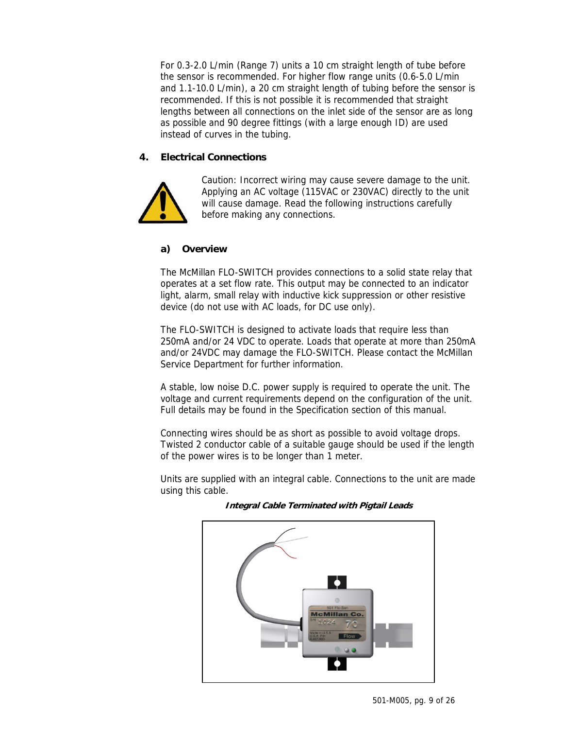For 0.3-2.0 L/min (Range 7) units a 10 cm straight length of tube before the sensor is recommended. For higher flow range units (0.6-5.0 L/min and 1.1-10.0 L/min), a 20 cm straight length of tubing before the sensor is recommended. If this is not possible it is recommended that straight lengths between all connections on the inlet side of the sensor are as long as possible and 90 degree fittings (with a large enough ID) are used instead of curves in the tubing.

### **4. Electrical Connections**



Caution: Incorrect wiring may cause severe damage to the unit. Applying an AC voltage (115VAC or 230VAC) directly to the unit will cause damage. Read the following instructions carefully before making any connections.

### **a) Overview**

The McMillan FLO-SWITCH provides connections to a solid state relay that operates at a set flow rate. This output may be connected to an indicator light, alarm, small relay with inductive kick suppression or other resistive device (do not use with AC loads, for DC use only).

The FLO-SWITCH is designed to activate loads that require less than 250mA and/or 24 VDC to operate. Loads that operate at more than 250mA and/or 24VDC may damage the FLO-SWITCH. Please contact the McMillan Service Department for further information.

A stable, low noise D.C. power supply is required to operate the unit. The voltage and current requirements depend on the configuration of the unit. Full details may be found in the Specification section of this manual.

Connecting wires should be as short as possible to avoid voltage drops. Twisted 2 conductor cable of a suitable gauge should be used if the length of the power wires is to be longer than 1 meter.

Units are supplied with an integral cable. Connections to the unit are made using this cable.



#### **Integral Cable Terminated with Pigtail Leads**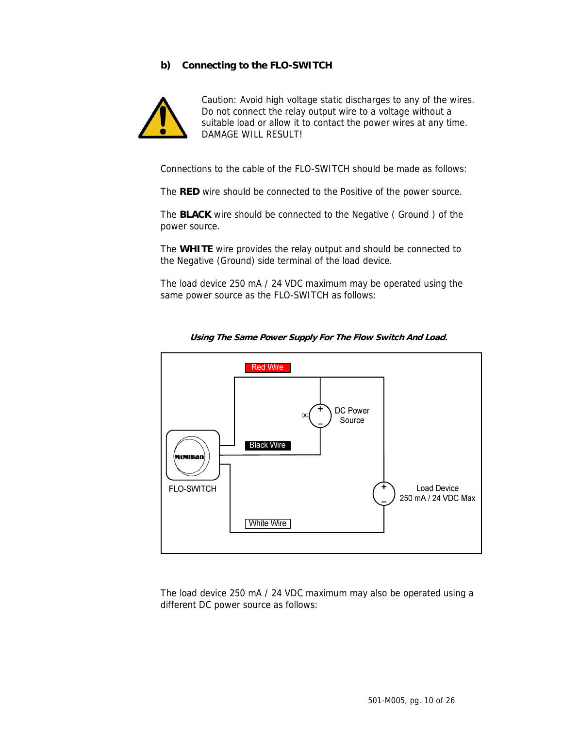### **b) Connecting to the FLO-SWITCH**



Caution: Avoid high voltage static discharges to any of the wires. Do not connect the relay output wire to a voltage without a suitable load or allow it to contact the power wires at any time. DAMAGE WILL RESULT!

Connections to the cable of the FLO-SWITCH should be made as follows:

The **RED** wire should be connected to the Positive of the power source.

The **BLACK** wire should be connected to the Negative ( Ground ) of the power source.

The **WHITE** wire provides the relay output and should be connected to the Negative (Ground) side terminal of the load device.

The load device 250 mA / 24 VDC maximum may be operated using the same power source as the FLO-SWITCH as follows:



**Using The Same Power Supply For The Flow Switch And Load.** 

The load device 250 mA / 24 VDC maximum may also be operated using a different DC power source as follows: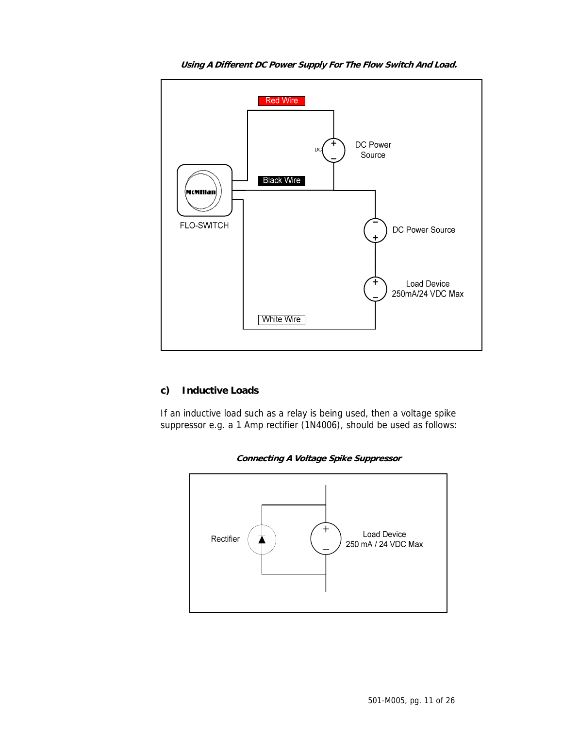

**Using A Different DC Power Supply For The Flow Switch And Load.** 

### **c) Inductive Loads**

If an inductive load such as a relay is being used, then a voltage spike suppressor e.g. a 1 Amp rectifier (1N4006), should be used as follows:



**Connecting A Voltage Spike Suppressor**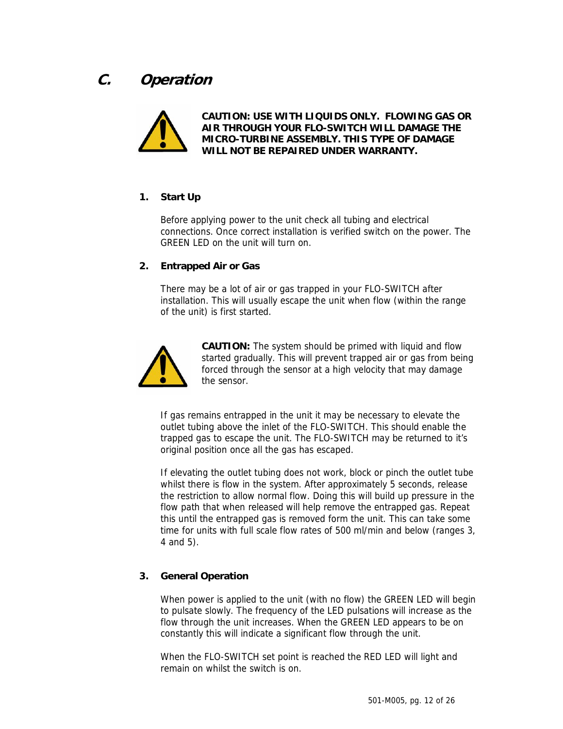# **C. Operation**



**CAUTION: USE WITH LIQUIDS ONLY. FLOWING GAS OR AIR THROUGH YOUR FLO-SWITCH WILL DAMAGE THE MICRO-TURBINE ASSEMBLY. THIS TYPE OF DAMAGE WILL NOT BE REPAIRED UNDER WARRANTY.** 

## **1. Start Up**

Before applying power to the unit check all tubing and electrical connections. Once correct installation is verified switch on the power. The GREEN LED on the unit will turn on.

### **2. Entrapped Air or Gas**

There may be a lot of air or gas trapped in your FLO-SWITCH after installation. This will usually escape the unit when flow (within the range of the unit) is first started.



**CAUTION:** The system should be primed with liquid and flow started gradually. This will prevent trapped air or gas from being forced through the sensor at a high velocity that may damage the sensor.

If gas remains entrapped in the unit it may be necessary to elevate the outlet tubing above the inlet of the FLO-SWITCH. This should enable the trapped gas to escape the unit. The FLO-SWITCH may be returned to it's original position once all the gas has escaped.

If elevating the outlet tubing does not work, block or pinch the outlet tube whilst there is flow in the system. After approximately 5 seconds, release the restriction to allow normal flow. Doing this will build up pressure in the flow path that when released will help remove the entrapped gas. Repeat this until the entrapped gas is removed form the unit. This can take some time for units with full scale flow rates of 500 ml/min and below (ranges 3, 4 and 5).

## **3. General Operation**

When power is applied to the unit (with no flow) the GREEN LED will begin to pulsate slowly. The frequency of the LED pulsations will increase as the flow through the unit increases. When the GREEN LED appears to be on constantly this will indicate a significant flow through the unit.

When the FLO-SWITCH set point is reached the RED LED will light and remain on whilst the switch is on.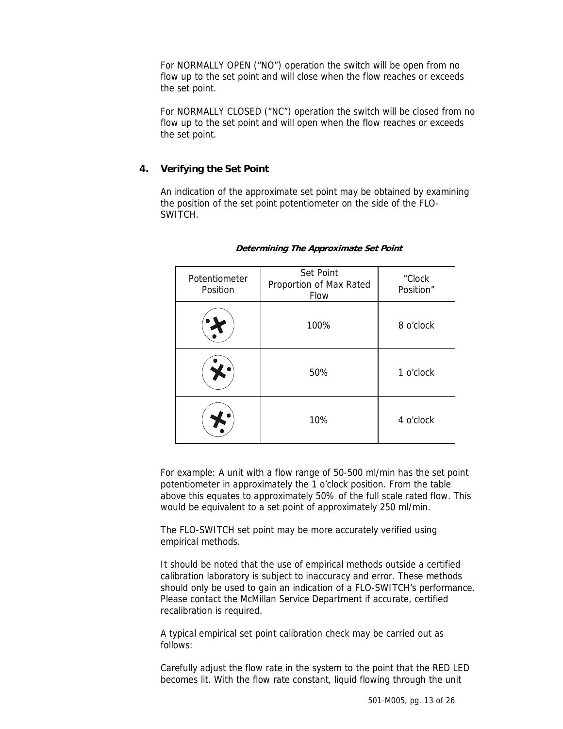For NORMALLY OPEN ("NO") operation the switch will be open from no flow up to the set point and will close when the flow reaches or exceeds the set point.

For NORMALLY CLOSED ("NC") operation the switch will be closed from no flow up to the set point and will open when the flow reaches or exceeds the set point.

### **4. Verifying the Set Point**

An indication of the approximate set point may be obtained by examining the position of the set point potentiometer on the side of the FLO-SWITCH.

| Potentiometer<br>Position | Set Point<br>Proportion of Max Rated<br>Flow | "Clock<br>Position" |
|---------------------------|----------------------------------------------|---------------------|
|                           | 100%                                         | 8 o'clock           |
|                           | 50%                                          | 1 o'clock           |
|                           | 10%                                          | 4 o'clock           |

#### **Determining The Approximate Set Point**

For example: A unit with a flow range of 50-500 ml/min has the set point potentiometer in approximately the 1 o'clock position. From the table above this equates to approximately 50% of the full scale rated flow. This would be equivalent to a set point of approximately 250 ml/min.

The FLO-SWITCH set point may be more accurately verified using empirical methods.

It should be noted that the use of empirical methods outside a certified calibration laboratory is subject to inaccuracy and error. These methods should only be used to gain an indication of a FLO-SWITCH's performance. Please contact the McMillan Service Department if accurate, certified recalibration is required.

A typical empirical set point calibration check may be carried out as follows:

Carefully adjust the flow rate in the system to the point that the RED LED becomes lit. With the flow rate constant, liquid flowing through the unit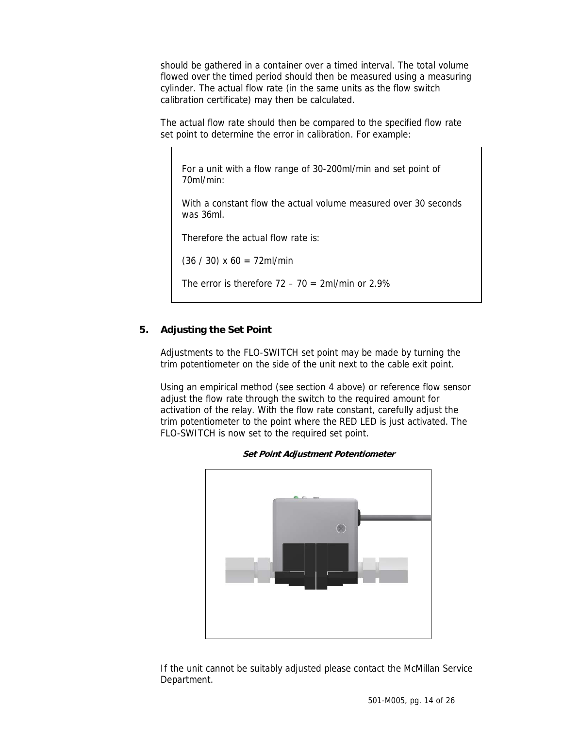should be gathered in a container over a timed interval. The total volume flowed over the timed period should then be measured using a measuring cylinder. The actual flow rate (in the same units as the flow switch calibration certificate) may then be calculated.

The actual flow rate should then be compared to the specified flow rate set point to determine the error in calibration. For example:

For a unit with a flow range of 30-200ml/min and set point of 70ml/min:

With a constant flow the actual volume measured over 30 seconds was 36ml.

Therefore the actual flow rate is:

 $(36 / 30)$  x 60 = 72ml/min

The error is therefore  $72 - 70 = 2$ ml/min or  $2.9\%$ 

### **5. Adjusting the Set Point**

Adjustments to the FLO-SWITCH set point may be made by turning the trim potentiometer on the side of the unit next to the cable exit point.

Using an empirical method (see section 4 above) or reference flow sensor adjust the flow rate through the switch to the required amount for activation of the relay. With the flow rate constant, carefully adjust the trim potentiometer to the point where the RED LED is just activated. The FLO-SWITCH is now set to the required set point.



**Set Point Adjustment Potentiometer** 

If the unit cannot be suitably adjusted please contact the McMillan Service Department.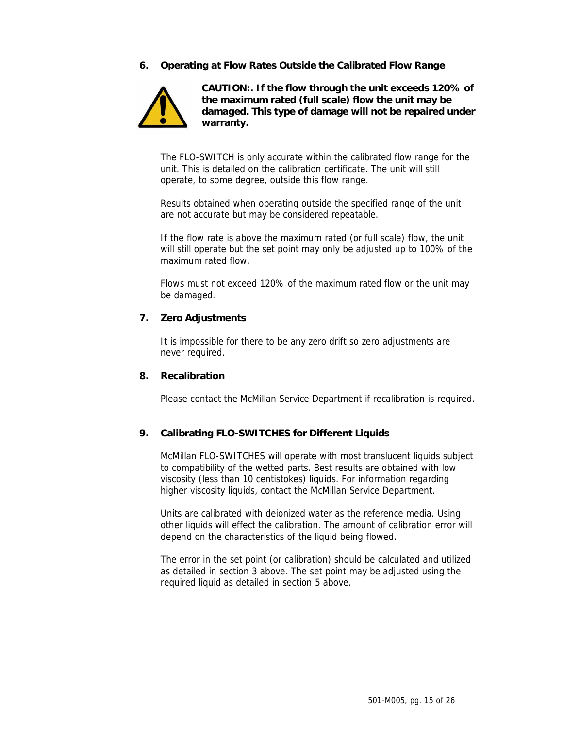### **6. Operating at Flow Rates Outside the Calibrated Flow Range**



**CAUTION:. If the flow through the unit exceeds 120% of the maximum rated (full scale) flow the unit may be damaged. This type of damage will not be repaired under warranty.** 

The FLO-SWITCH is only accurate within the calibrated flow range for the unit. This is detailed on the calibration certificate. The unit will still operate, to some degree, outside this flow range.

Results obtained when operating outside the specified range of the unit are not accurate but may be considered repeatable.

If the flow rate is above the maximum rated (or full scale) flow, the unit will still operate but the set point may only be adjusted up to 100% of the maximum rated flow.

Flows must not exceed 120% of the maximum rated flow or the unit may be damaged.

#### **7. Zero Adjustments**

It is impossible for there to be any zero drift so zero adjustments are never required.

#### **8. Recalibration**

Please contact the McMillan Service Department if recalibration is required.

### **9. Calibrating FLO-SWITCHES for Different Liquids**

McMillan FLO-SWITCHES will operate with most translucent liquids subject to compatibility of the wetted parts. Best results are obtained with low viscosity (less than 10 centistokes) liquids. For information regarding higher viscosity liquids, contact the McMillan Service Department.

Units are calibrated with deionized water as the reference media. Using other liquids will effect the calibration. The amount of calibration error will depend on the characteristics of the liquid being flowed.

The error in the set point (or calibration) should be calculated and utilized as detailed in section 3 above. The set point may be adjusted using the required liquid as detailed in section 5 above.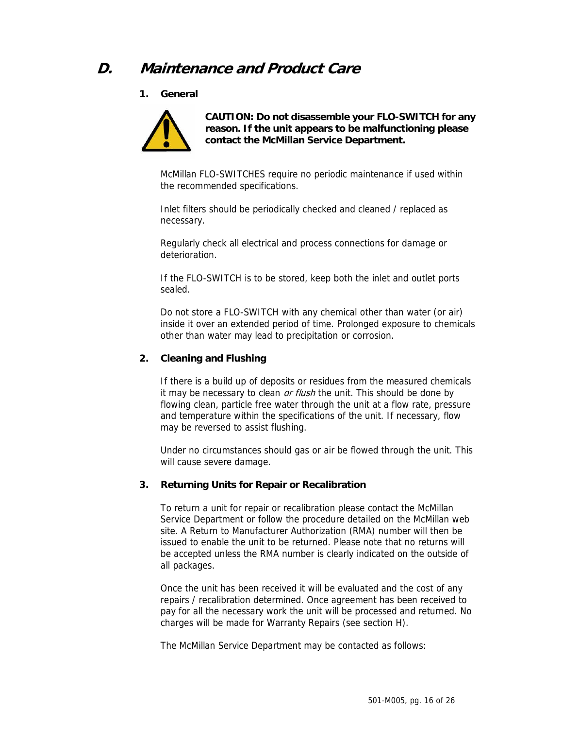# **D. Maintenance and Product Care**

**1. General** 



**CAUTION: Do not disassemble your FLO-SWITCH for any reason. If the unit appears to be malfunctioning please contact the McMillan Service Department.** 

McMillan FLO-SWITCHES require no periodic maintenance if used within the recommended specifications.

Inlet filters should be periodically checked and cleaned / replaced as necessary.

Regularly check all electrical and process connections for damage or deterioration.

If the FLO-SWITCH is to be stored, keep both the inlet and outlet ports sealed.

Do not store a FLO-SWITCH with any chemical other than water (or air) inside it over an extended period of time. Prolonged exposure to chemicals other than water may lead to precipitation or corrosion.

### **2. Cleaning and Flushing**

If there is a build up of deposits or residues from the measured chemicals it may be necessary to clean or flush the unit. This should be done by flowing clean, particle free water through the unit at a flow rate, pressure and temperature within the specifications of the unit. If necessary, flow may be reversed to assist flushing.

Under no circumstances should gas or air be flowed through the unit. This will cause severe damage.

#### **3. Returning Units for Repair or Recalibration**

To return a unit for repair or recalibration please contact the McMillan Service Department or follow the procedure detailed on the McMillan web site. A Return to Manufacturer Authorization (RMA) number will then be issued to enable the unit to be returned. Please note that no returns will be accepted unless the RMA number is clearly indicated on the outside of all packages.

Once the unit has been received it will be evaluated and the cost of any repairs / recalibration determined. Once agreement has been received to pay for all the necessary work the unit will be processed and returned. No charges will be made for Warranty Repairs (see section H).

The McMillan Service Department may be contacted as follows: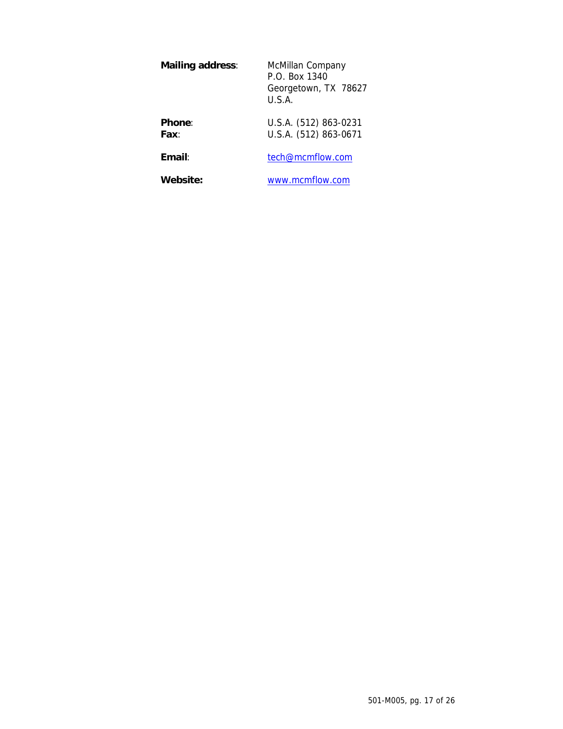| <b>Mailing address:</b> | McMillan Company<br>P.O. Box 1340<br>Georgetown, TX 78627<br>U.S.A. |
|-------------------------|---------------------------------------------------------------------|
| <b>Phone:</b><br>Fax∶   | U.S.A. (512) 863-0231<br>U.S.A. (512) 863-0671                      |
| Email:                  | tech@mcmflow.com                                                    |

**Website:** www.mcmflow.com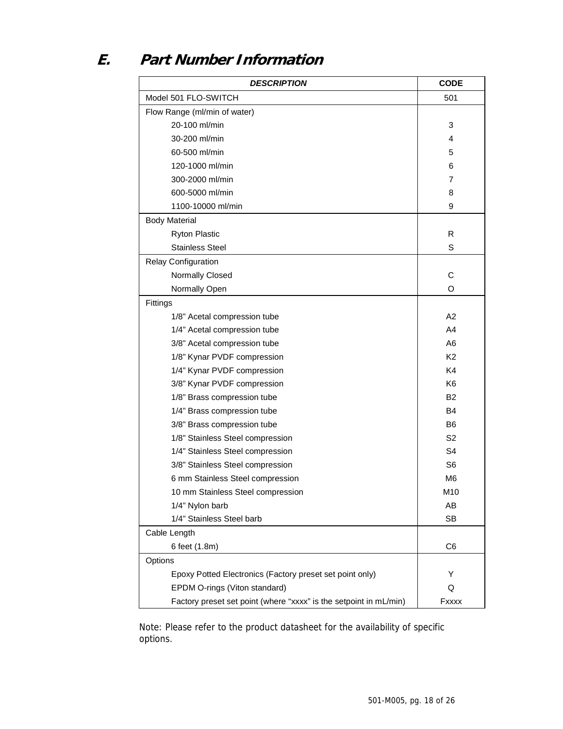# **E. Part Number Information**

| <b>DESCRIPTION</b>                                                | <b>CODE</b>    |  |
|-------------------------------------------------------------------|----------------|--|
| Model 501 FLO-SWITCH                                              | 501            |  |
| Flow Range (ml/min of water)                                      |                |  |
| 20-100 ml/min                                                     | 3              |  |
| 30-200 ml/min                                                     | 4              |  |
| 60-500 ml/min                                                     | 5              |  |
| 120-1000 ml/min                                                   | 6              |  |
| 300-2000 ml/min                                                   | 7              |  |
| 600-5000 ml/min                                                   | 8              |  |
| 1100-10000 ml/min                                                 | 9              |  |
| <b>Body Material</b>                                              |                |  |
| <b>Ryton Plastic</b>                                              | R              |  |
| <b>Stainless Steel</b>                                            | S              |  |
| <b>Relay Configuration</b>                                        |                |  |
| Normally Closed                                                   | C              |  |
| Normally Open                                                     | O              |  |
| Fittings                                                          |                |  |
| 1/8" Acetal compression tube                                      | A2             |  |
| 1/4" Acetal compression tube                                      | A <sub>4</sub> |  |
| 3/8" Acetal compression tube                                      | A6             |  |
| 1/8" Kynar PVDF compression                                       | K <sub>2</sub> |  |
| 1/4" Kynar PVDF compression                                       | K4             |  |
| 3/8" Kynar PVDF compression                                       | K <sub>6</sub> |  |
| 1/8" Brass compression tube                                       | B <sub>2</sub> |  |
| 1/4" Brass compression tube                                       | <b>B4</b>      |  |
| 3/8" Brass compression tube                                       | B6             |  |
| 1/8" Stainless Steel compression                                  | S <sub>2</sub> |  |
| 1/4" Stainless Steel compression                                  | S <sub>4</sub> |  |
| 3/8" Stainless Steel compression                                  | S <sub>6</sub> |  |
| 6 mm Stainless Steel compression                                  | M <sub>6</sub> |  |
| 10 mm Stainless Steel compression                                 | M10            |  |
| 1/4" Nylon barb                                                   | AB             |  |
| 1/4" Stainless Steel barb                                         | <b>SB</b>      |  |
| Cable Length                                                      |                |  |
| 6 feet (1.8m)                                                     | C <sub>6</sub> |  |
| Options                                                           |                |  |
| Epoxy Potted Electronics (Factory preset set point only)          | Y              |  |
| EPDM O-rings (Viton standard)                                     | Q              |  |
| Factory preset set point (where "xxxx" is the setpoint in mL/min) | Fxxxx          |  |

Note: Please refer to the product datasheet for the availability of specific options.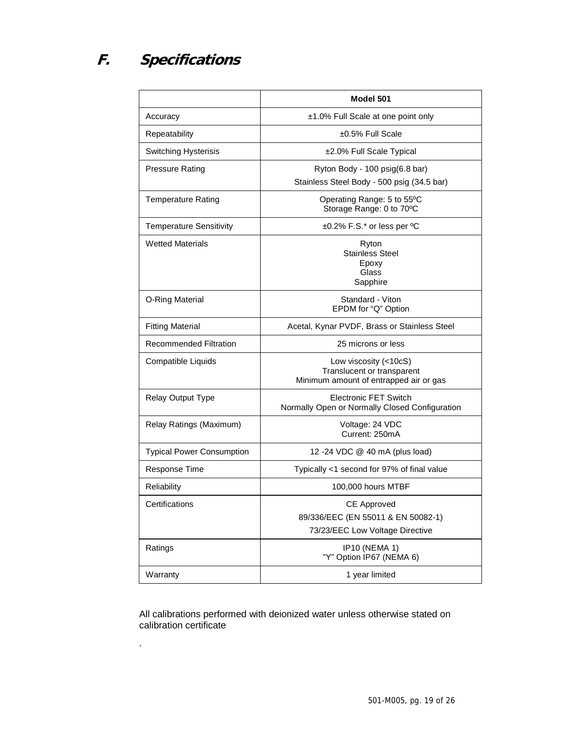# **F. Specifications**

.

|                                  | Model 501                                                                                     |
|----------------------------------|-----------------------------------------------------------------------------------------------|
| Accuracy                         | ±1.0% Full Scale at one point only                                                            |
| Repeatability                    | $±0.5\%$ Full Scale                                                                           |
| <b>Switching Hysterisis</b>      | ±2.0% Full Scale Typical                                                                      |
| <b>Pressure Rating</b>           | Ryton Body - 100 psig(6.8 bar)<br>Stainless Steel Body - 500 psig (34.5 bar)                  |
| <b>Temperature Rating</b>        | Operating Range: 5 to 55°C<br>Storage Range: 0 to 70°C                                        |
| <b>Temperature Sensitivity</b>   | $\pm 0.2\%$ F.S.* or less per <sup>o</sup> C                                                  |
| <b>Wetted Materials</b>          | Ryton<br>Stainless Steel<br>Epoxy<br>Glass<br>Sapphire                                        |
| O-Ring Material                  | Standard - Viton<br>EPDM for "Q" Option                                                       |
| <b>Fitting Material</b>          | Acetal, Kynar PVDF, Brass or Stainless Steel                                                  |
| <b>Recommended Filtration</b>    | 25 microns or less                                                                            |
| Compatible Liquids               | Low viscosity (<10cS)<br>Translucent or transparent<br>Minimum amount of entrapped air or gas |
| Relay Output Type                | <b>Electronic FET Switch</b><br>Normally Open or Normally Closed Configuration                |
| Relay Ratings (Maximum)          | Voltage: 24 VDC<br>Current: 250mA                                                             |
| <b>Typical Power Consumption</b> | 12 -24 VDC @ 40 mA (plus load)                                                                |
| Response Time                    | Typically <1 second for 97% of final value                                                    |
| <b>Reliability</b>               | 100,000 hours MTBF                                                                            |
| Certifications                   | CE Approved<br>89/336/EEC (EN 55011 & EN 50082-1)<br>73/23/EEC Low Voltage Directive          |
| Ratings                          | IP10 (NEMA 1)<br>"Y" Option IP67 (NEMA 6)                                                     |
| Warranty                         | 1 year limited                                                                                |

All calibrations performed with deionized water unless otherwise stated on calibration certificate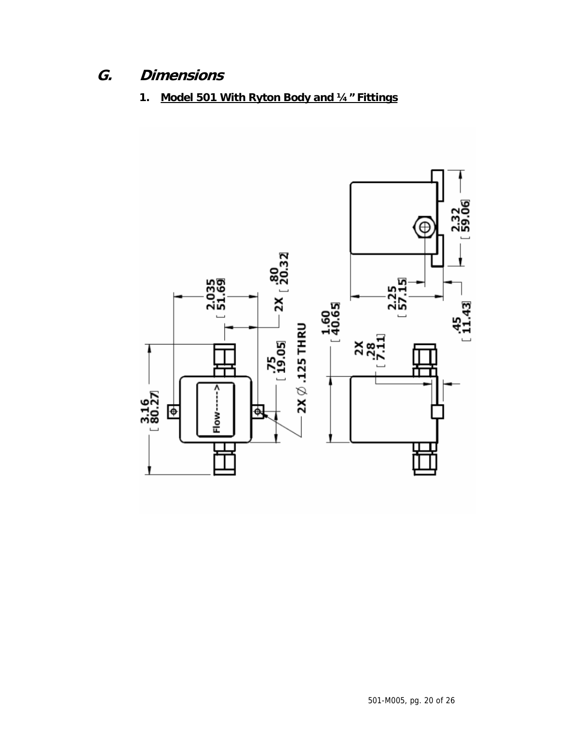# **G. Dimensions**

**1. Model 501 With Ryton Body and ¼" Fittings**

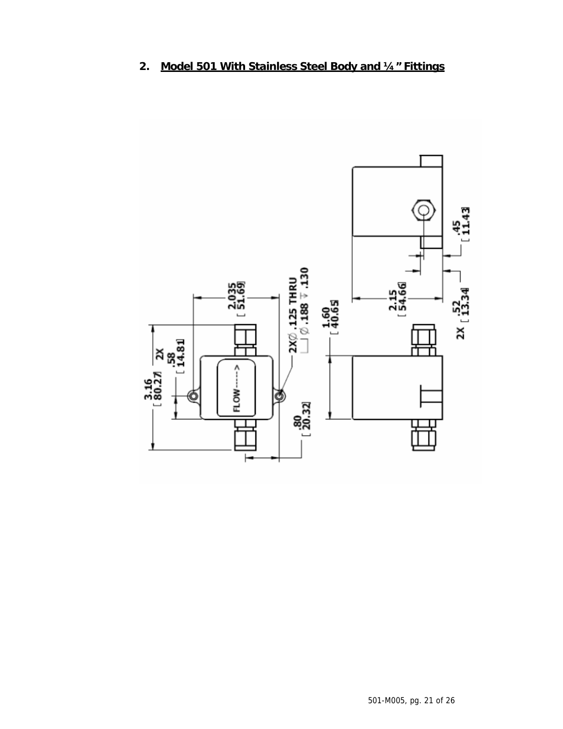

# **2. Model 501 With Stainless Steel Body and ¼" Fittings**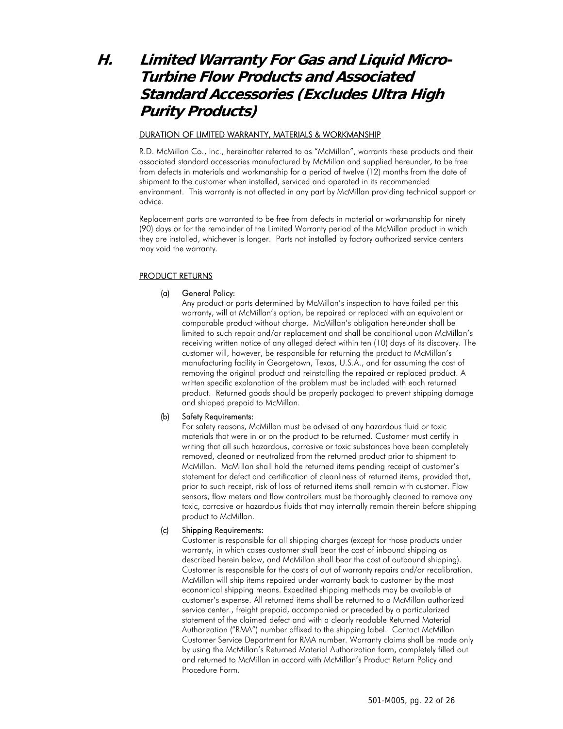# **H. Limited Warranty For Gas and Liquid Micro-Turbine Flow Products and Associated Standard Accessories (Excludes Ultra High Purity Products)**

#### DURATION OF LIMITED WARRANTY, MATERIALS & WORKMANSHIP

R.D. McMillan Co., Inc., hereinafter referred to as "McMillan", warrants these products and their associated standard accessories manufactured by McMillan and supplied hereunder, to be free from defects in materials and workmanship for a period of twelve (12) months from the date of shipment to the customer when installed, serviced and operated in its recommended environment. This warranty is not affected in any part by McMillan providing technical support or advice.

Replacement parts are warranted to be free from defects in material or workmanship for ninety (90) days or for the remainder of the Limited Warranty period of the McMillan product in which they are installed, whichever is longer. Parts not installed by factory authorized service centers may void the warranty.

#### PRODUCT RETURNS

#### (a) General Policy:

Any product or parts determined by McMillan's inspection to have failed per this warranty, will at McMillan's option, be repaired or replaced with an equivalent or comparable product without charge. McMillan's obligation hereunder shall be limited to such repair and/or replacement and shall be conditional upon McMillan's receiving written notice of any alleged defect within ten (10) days of its discovery. The customer will, however, be responsible for returning the product to McMillan's manufacturing facility in Georgetown, Texas, U.S.A., and for assuming the cost of removing the original product and reinstalling the repaired or replaced product. A written specific explanation of the problem must be included with each returned product. Returned goods should be properly packaged to prevent shipping damage and shipped prepaid to McMillan.

#### (b) Safety Requirements:

For safety reasons, McMillan must be advised of any hazardous fluid or toxic materials that were in or on the product to be returned. Customer must certify in writing that all such hazardous, corrosive or toxic substances have been completely removed, cleaned or neutralized from the returned product prior to shipment to McMillan. McMillan shall hold the returned items pending receipt of customer's statement for defect and certification of cleanliness of returned items, provided that, prior to such receipt, risk of loss of returned items shall remain with customer. Flow sensors, flow meters and flow controllers must be thoroughly cleaned to remove any toxic, corrosive or hazardous fluids that may internally remain therein before shipping product to McMillan.

#### (c) Shipping Requirements:

Customer is responsible for all shipping charges (except for those products under warranty, in which cases customer shall bear the cost of inbound shipping as described herein below, and McMillan shall bear the cost of outbound shipping). Customer is responsible for the costs of out of warranty repairs and/or recalibration. McMillan will ship items repaired under warranty back to customer by the most economical shipping means. Expedited shipping methods may be available at customer's expense. All returned items shall be returned to a McMillan authorized service center., freight prepaid, accompanied or preceded by a particularized statement of the claimed defect and with a clearly readable Returned Material Authorization ("RMA") number affixed to the shipping label. Contact McMillan Customer Service Department for RMA number. Warranty claims shall be made only by using the McMillan's Returned Material Authorization form, completely filled out and returned to McMillan in accord with McMillan's Product Return Policy and Procedure Form.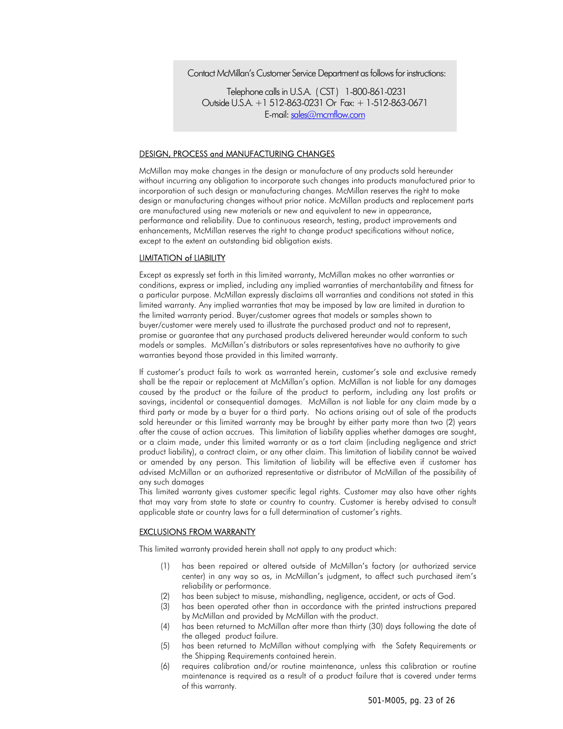#### Contact McMillan's Customer Service Department as follows for instructions:

Telephone calls in U.S.A. ( CST ) 1-800-861-0231 Outside U.S.A. +1 512-863-0231 Or Fax: + 1-512-863-0671 E-mail: sales@mcmflow.com

#### DESIGN, PROCESS and MANUFACTURING CHANGES

McMillan may make changes in the design or manufacture of any products sold hereunder without incurring any obligation to incorporate such changes into products manufactured prior to incorporation of such design or manufacturing changes. McMillan reserves the right to make design or manufacturing changes without prior notice. McMillan products and replacement parts are manufactured using new materials or new and equivalent to new in appearance, performance and reliability. Due to continuous research, testing, product improvements and enhancements, McMillan reserves the right to change product specifications without notice, except to the extent an outstanding bid obligation exists.

#### LIMITATION of LIABILITY

Except as expressly set forth in this limited warranty, McMillan makes no other warranties or conditions, express or implied, including any implied warranties of merchantability and fitness for a particular purpose. McMillan expressly disclaims all warranties and conditions not stated in this limited warranty. Any implied warranties that may be imposed by law are limited in duration to the limited warranty period. Buyer/customer agrees that models or samples shown to buyer/customer were merely used to illustrate the purchased product and not to represent, promise or guarantee that any purchased products delivered hereunder would conform to such models or samples. McMillan's distributors or sales representatives have no authority to give warranties beyond those provided in this limited warranty.

If customer's product fails to work as warranted herein, customer's sole and exclusive remedy shall be the repair or replacement at McMillan's option. McMillan is not liable for any damages caused by the product or the failure of the product to perform, including any lost profits or savings, incidental or consequential damages. McMillan is not liable for any claim made by a third party or made by a buyer for a third party. No actions arising out of sale of the products sold hereunder or this limited warranty may be brought by either party more than two (2) years after the cause of action accrues. This limitation of liability applies whether damages are sought, or a claim made, under this limited warranty or as a tort claim (including negligence and strict product liability), a contract claim, or any other claim. This limitation of liability cannot be waived or amended by any person. This limitation of liability will be effective even if customer has advised McMillan or an authorized representative or distributor of McMillan of the possibility of any such damages

This limited warranty gives customer specific legal rights. Customer may also have other rights that may vary from state to state or country to country. Customer is hereby advised to consult applicable state or country laws for a full determination of customer's rights.

#### EXCLUSIONS FROM WARRANTY

This limited warranty provided herein shall not apply to any product which:

- (1) has been repaired or altered outside of McMillan's factory (or authorized service center) in any way so as, in McMillan's judgment, to affect such purchased item's reliability or performance.
- (2) has been subject to misuse, mishandling, negligence, accident, or acts of God.
- (3) has been operated other than in accordance with the printed instructions prepared by McMillan and provided by McMillan with the product.
- (4) has been returned to McMillan after more than thirty (30) days following the date of the alleged product failure.
- (5) has been returned to McMillan without complying with the Safety Requirements or the Shipping Requirements contained herein.
- (6) requires calibration and/or routine maintenance, unless this calibration or routine maintenance is required as a result of a product failure that is covered under terms of this warranty.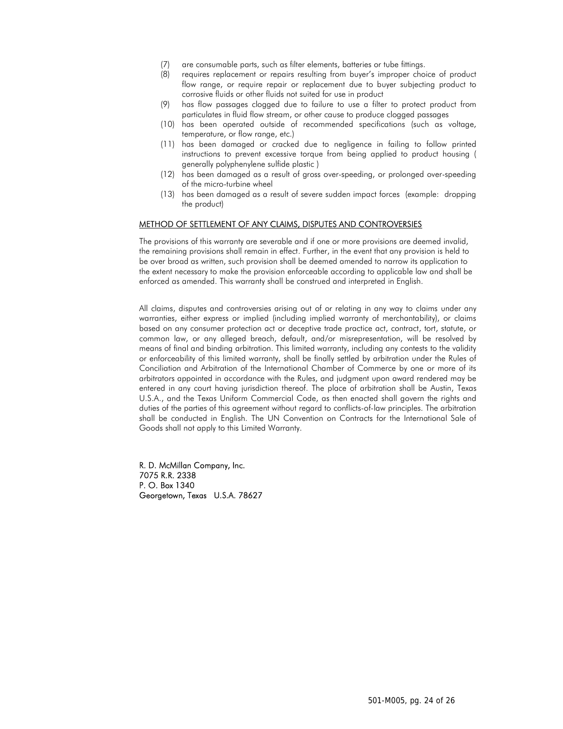- (7) are consumable parts, such as filter elements, batteries or tube fittings.
- (8) requires replacement or repairs resulting from buyer's improper choice of product flow range, or require repair or replacement due to buyer subjecting product to corrosive fluids or other fluids not suited for use in product
- (9) has flow passages clogged due to failure to use a filter to protect product from particulates in fluid flow stream, or other cause to produce clogged passages
- (10) has been operated outside of recommended specifications (such as voltage, temperature, or flow range, etc.)
- (11) has been damaged or cracked due to negligence in failing to follow printed instructions to prevent excessive torque from being applied to product housing ( generally polyphenylene sulfide plastic )
- (12) has been damaged as a result of gross over-speeding, or prolonged over-speeding of the micro-turbine wheel
- (13) has been damaged as a result of severe sudden impact forces (example: dropping the product)

#### METHOD OF SETTLEMENT OF ANY CLAIMS, DISPUTES AND CONTROVERSIES

The provisions of this warranty are severable and if one or more provisions are deemed invalid, the remaining provisions shall remain in effect. Further, in the event that any provision is held to be over broad as written, such provision shall be deemed amended to narrow its application to the extent necessary to make the provision enforceable according to applicable law and shall be enforced as amended. This warranty shall be construed and interpreted in English.

All claims, disputes and controversies arising out of or relating in any way to claims under any warranties, either express or implied (including implied warranty of merchantability), or claims based on any consumer protection act or deceptive trade practice act, contract, tort, statute, or common law, or any alleged breach, default, and/or misrepresentation, will be resolved by means of final and binding arbitration. This limited warranty, including any contests to the validity or enforceability of this limited warranty, shall be finally settled by arbitration under the Rules of Conciliation and Arbitration of the International Chamber of Commerce by one or more of its arbitrators appointed in accordance with the Rules, and judgment upon award rendered may be entered in any court having jurisdiction thereof. The place of arbitration shall be Austin, Texas U.S.A., and the Texas Uniform Commercial Code, as then enacted shall govern the rights and duties of the parties of this agreement without regard to conflicts-of-law principles. The arbitration shall be conducted in English. The UN Convention on Contracts for the International Sale of Goods shall not apply to this Limited Warranty.

R. D. McMillan Company, Inc. 7075 R.R. 2338 P. O. Box 1340 Georgetown, Texas U.S.A. 78627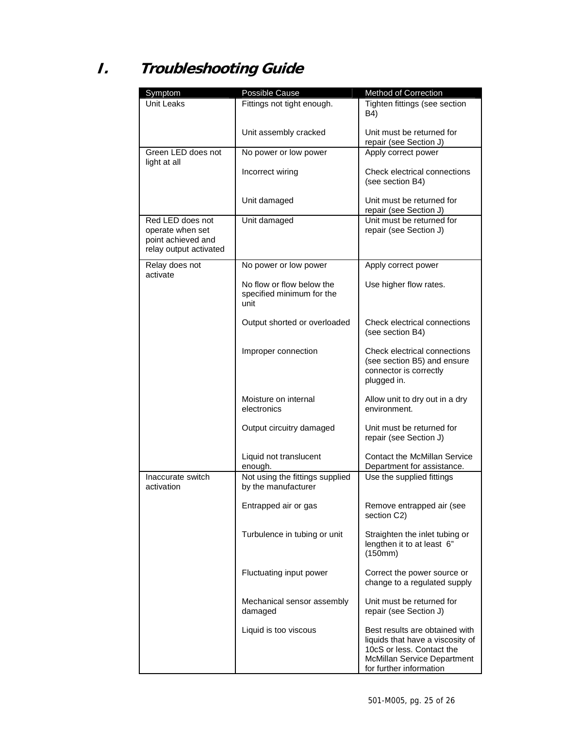# **I. Troubleshooting Guide**

| Symptom                                                                              | Possible Cause                                                 | <b>Method of Correction</b>                                                                                                                               |
|--------------------------------------------------------------------------------------|----------------------------------------------------------------|-----------------------------------------------------------------------------------------------------------------------------------------------------------|
| Unit Leaks                                                                           | Fittings not tight enough.                                     | Tighten fittings (see section<br>B4)                                                                                                                      |
|                                                                                      | Unit assembly cracked                                          | Unit must be returned for<br>repair (see Section J)                                                                                                       |
| Green LED does not<br>light at all                                                   | No power or low power                                          | Apply correct power                                                                                                                                       |
|                                                                                      | Incorrect wiring                                               | Check electrical connections<br>(see section B4)                                                                                                          |
|                                                                                      | Unit damaged                                                   | Unit must be returned for<br>repair (see Section J)                                                                                                       |
| Red LED does not<br>operate when set<br>point achieved and<br>relay output activated | Unit damaged                                                   | Unit must be returned for<br>repair (see Section J)                                                                                                       |
| Relay does not                                                                       | No power or low power                                          | Apply correct power                                                                                                                                       |
| activate                                                                             | No flow or flow below the<br>specified minimum for the<br>unit | Use higher flow rates.                                                                                                                                    |
|                                                                                      | Output shorted or overloaded                                   | Check electrical connections<br>(see section B4)                                                                                                          |
|                                                                                      | Improper connection                                            | Check electrical connections<br>(see section B5) and ensure<br>connector is correctly<br>plugged in.                                                      |
|                                                                                      | Moisture on internal<br>electronics                            | Allow unit to dry out in a dry<br>environment.                                                                                                            |
|                                                                                      | Output circuitry damaged                                       | Unit must be returned for<br>repair (see Section J)                                                                                                       |
|                                                                                      | Liquid not translucent<br>enough.                              | <b>Contact the McMillan Service</b><br>Department for assistance.                                                                                         |
| Inaccurate switch<br>activation                                                      | Not using the fittings supplied<br>by the manufacturer         | Use the supplied fittings                                                                                                                                 |
|                                                                                      | Entrapped air or gas                                           | Remove entrapped air (see<br>section C2)                                                                                                                  |
|                                                                                      | Turbulence in tubing or unit                                   | Straighten the inlet tubing or<br>lengthen it to at least 6"<br>(150mm)                                                                                   |
|                                                                                      | Fluctuating input power                                        | Correct the power source or<br>change to a regulated supply                                                                                               |
|                                                                                      | Mechanical sensor assembly<br>damaged                          | Unit must be returned for<br>repair (see Section J)                                                                                                       |
|                                                                                      | Liquid is too viscous                                          | Best results are obtained with<br>liquids that have a viscosity of<br>10cS or less. Contact the<br>McMillan Service Department<br>for further information |